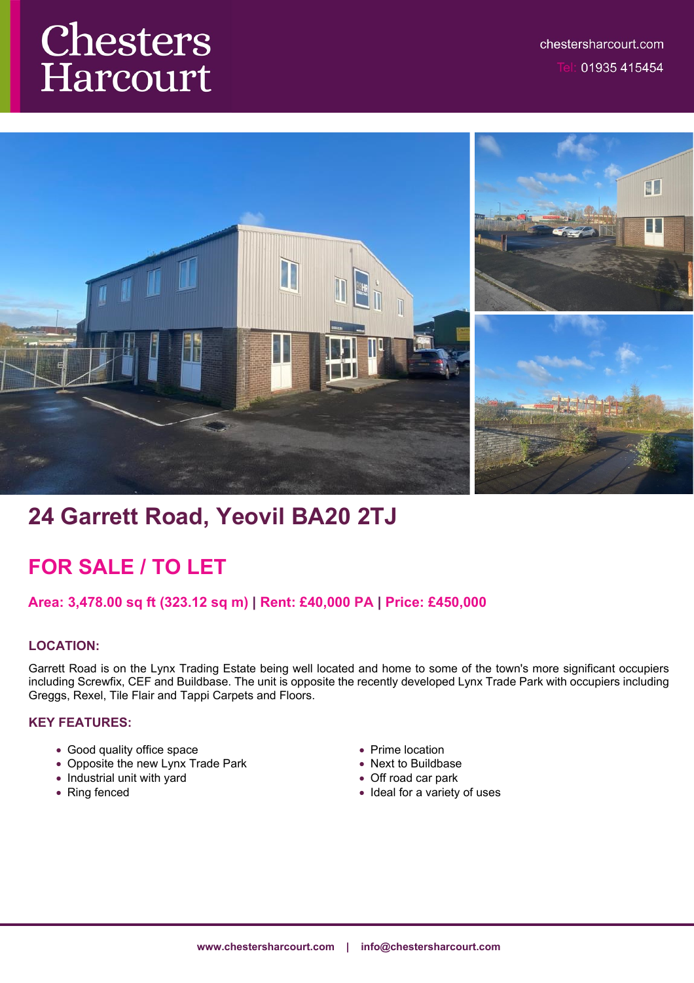# **Chesters**<br>Harcourt



# **24 Garrett Road, Yeovil BA20 2TJ**

# **FOR SALE / TO LET**

### **Area: 3,478.00 sq ft (323.12 sq m) | Rent: £40,000 PA | Price: £450,000**

#### **LOCATION:**

Garrett Road is on the Lynx Trading Estate being well located and home to some of the town's more significant occupiers including Screwfix, CEF and Buildbase. The unit is opposite the recently developed Lynx Trade Park with occupiers including Greggs, Rexel, Tile Flair and Tappi Carpets and Floors.

#### **KEY FEATURES:**

- Good quality office space
- Opposite the new Lynx Trade Park
- Industrial unit with yard
- Ring fenced
- Prime location
- Next to Buildbase
- Off road car park
- Ideal for a variety of uses